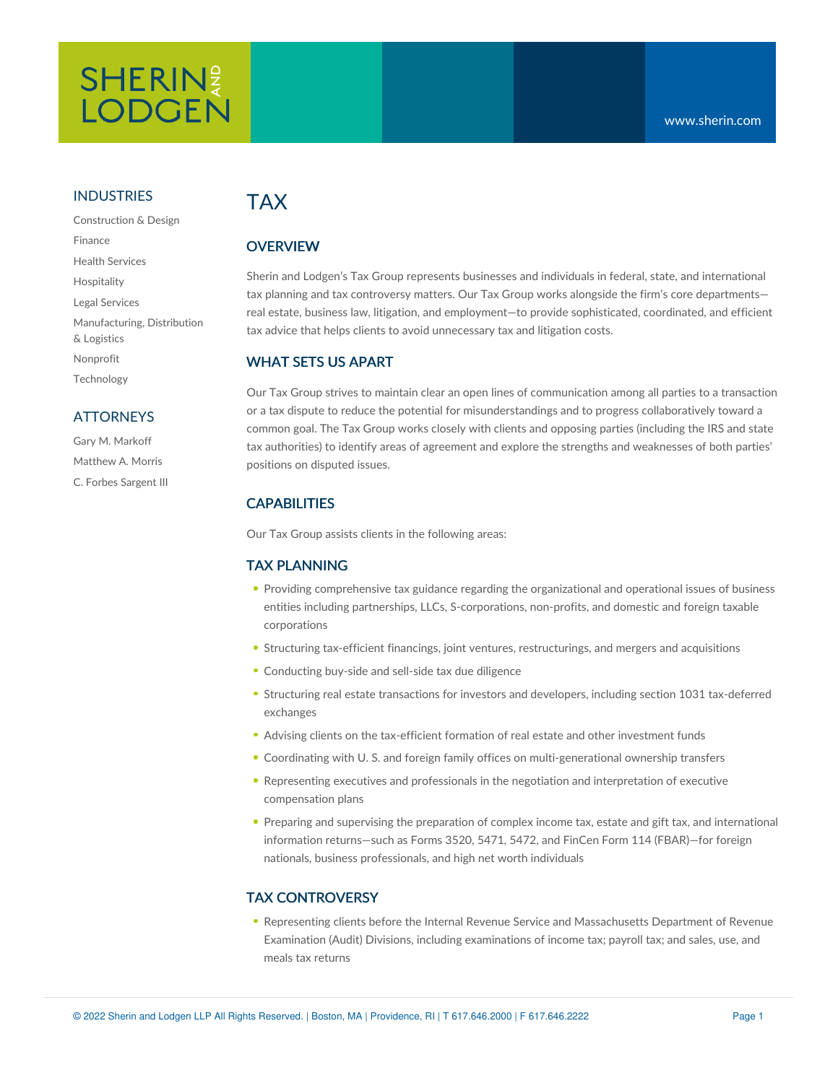## **SHERIN! LODGEN**

#### INDUSTRIES

Construction & Design Finance Health Services Hospitality Legal Services Manufacturing, Distribution & Logistics Nonprofit Technology

#### **ATTORNEYS**

Gary M. Markoff Matthew A. Morris C. Forbes Sargent III

### TAX

#### **OVERVIEW**

Sherin and Lodgen's Tax Group represents businesses and individuals in federal, state, and international tax planning and tax controversy matters. Our Tax Group works alongside the firm's core departments real estate, business law, litigation, and employment—to provide sophisticated, coordinated, and efficient tax advice that helps clients to avoid unnecessary tax and litigation costs.

#### WHAT SETS US APART

Our Tax Group strives to maintain clear an open lines of communication among all parties to a transaction or a tax dispute to reduce the potential for misunderstandings and to progress collaboratively toward a common goal. The Tax Group works closely with clients and opposing parties (including the IRS and state tax authorities) to identify areas of agreement and explore the strengths and weaknesses of both parties' positions on disputed issues.

#### **CAPABILITIES**

Our Tax Group assists clients in the following areas:

#### TAX PLANNING

- Providing comprehensive tax guidance regarding the organizational and operational issues of business entities including partnerships, LLCs, S-corporations, non-profits, and domestic and foreign taxable corporations
- Structuring tax-efficient financings, joint ventures, restructurings, and mergers and acquisitions
- Conducting buy-side and sell-side tax due diligence
- Structuring real estate transactions for investors and developers, including section 1031 tax-deferred exchanges
- Advising clients on the tax-efficient formation of real estate and other investment funds
- Coordinating with U. S. and foreign family offices on multi-generational ownership transfers
- Representing executives and professionals in the negotiation and interpretation of executive compensation plans
- **Preparing and supervising the preparation of complex income tax, estate and gift tax, and international** information returns—such as Forms 3520, 5471, 5472, and FinCen Form 114 (FBAR)—for foreign nationals, business professionals, and high net worth individuals

#### TAX CONTROVERSY

Representing clients before the Internal Revenue Service and Massachusetts Department of Revenue Examination (Audit) Divisions, including examinations of income tax; payroll tax; and sales, use, and meals tax returns